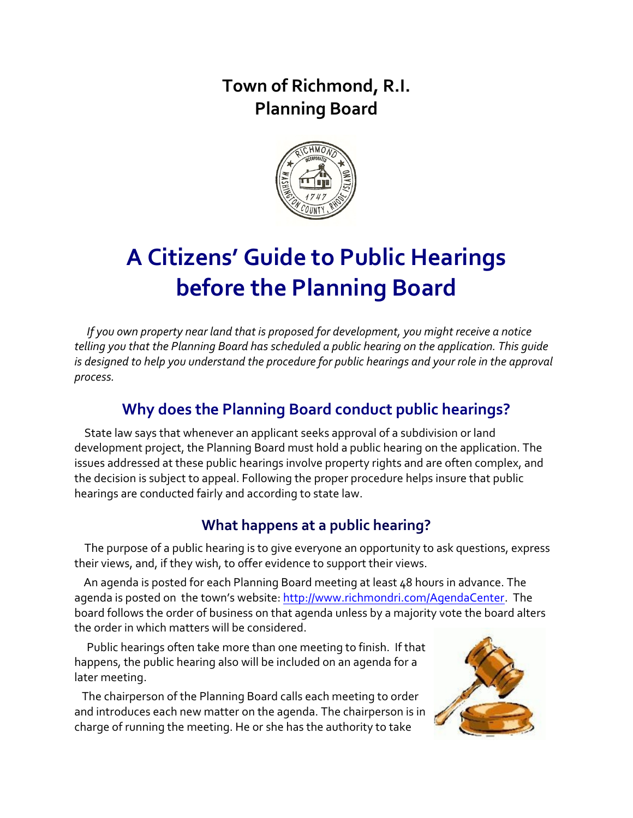## **Town of Richmond, R.I. Planning Board**



# **A Citizens' Guide to Public Hearings before the Planning Board**

 *If you own property near land that is proposed for development, you might receive a notice telling you that the Planning Board has scheduled a public hearing on the application. This guide is designed to help you understand the procedure for public hearings and your role in the approval process.*

### **Why does the Planning Board conduct public hearings?**

 State law says that whenever an applicant seeks approval of a subdivision or land development project, the Planning Board must hold a public hearing on the application. The issues addressed at these public hearings involve property rights and are often complex, and the decision is subject to appeal. Following the proper procedure helps insure that public hearings are conducted fairly and according to state law.

### **What happens at a public hearing?**

 The purpose of a public hearing is to give everyone an opportunity to ask questions, express their views, and, if they wish, to offer evidence to support their views.

An agenda is posted for each Planning Board meeting at least 48 hours in advance. The agenda is posted on the town's website:<http://www.richmondri.com/AgendaCenter>. The board follows the order of business on that agenda unless by a majority vote the board alters the order in which matters will be considered.

 Public hearings often take more than one meeting to finish. If that happens, the public hearing also will be included on an agenda for a later meeting.

 The chairperson of the Planning Board calls each meeting to order and introduces each new matter on the agenda. The chairperson is in charge of running the meeting. He or she has the authority to take

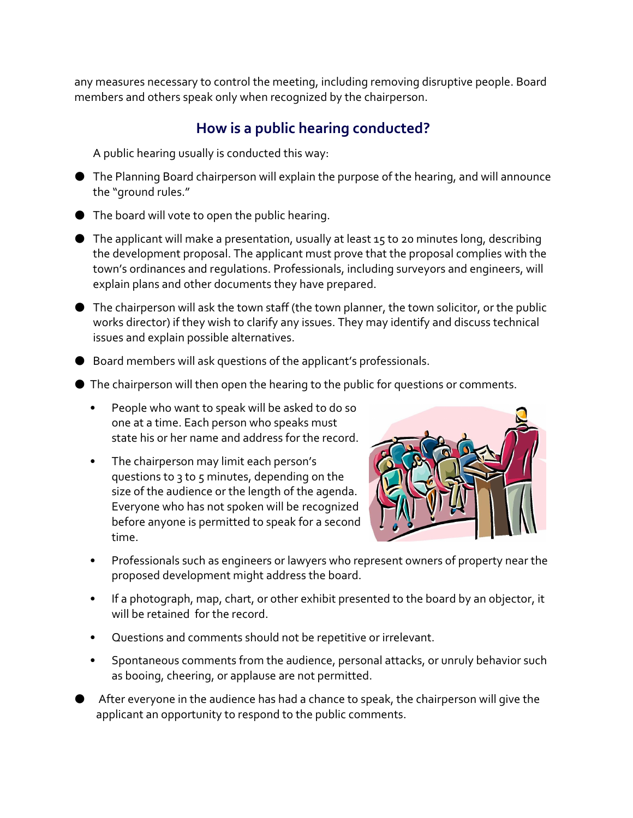any measures necessary to control the meeting, including removing disruptive people. Board members and others speak only when recognized by the chairperson.

#### **How is a public hearing conducted?**

A public hearing usually is conducted this way:

- M The Planning Board chairperson will explain the purpose of the hearing, and will announce the "ground rules."
- $\bullet$  The board will vote to open the public hearing.
- $\bullet$  The applicant will make a presentation, usually at least 15 to 20 minutes long, describing the development proposal. The applicant must prove that the proposal complies with the town's ordinances and regulations. Professionals, including surveyors and engineers, will explain plans and other documents they have prepared.
- $\bullet$  The chairperson will ask the town staff (the town planner, the town solicitor, or the public works director) if they wish to clarify any issues. They may identify and discuss technical issues and explain possible alternatives.
- Board members will ask questions of the applicant's professionals.
- $\bullet$  The chairperson will then open the hearing to the public for questions or comments.
	- People who want to speak will be asked to do so one at a time. Each person who speaks must state his or her name and address for the record.
	- The chairperson may limit each person's questions to 3 to 5 minutes, depending on the size of the audience or the length of the agenda. Everyone who has not spoken will be recognized before anyone is permitted to speak for a second time.



- Professionals such as engineers or lawyers who represent owners of property near the proposed development might address the board.
- If a photograph, map, chart, or other exhibit presented to the board by an objector, it will be retained for the record.
- Questions and comments should not be repetitive or irrelevant.
- Spontaneous comments from the audience, personal attacks, or unruly behavior such as booing, cheering, or applause are not permitted.
- **M** After everyone in the audience has had a chance to speak, the chairperson will give the applicant an opportunity to respond to the public comments.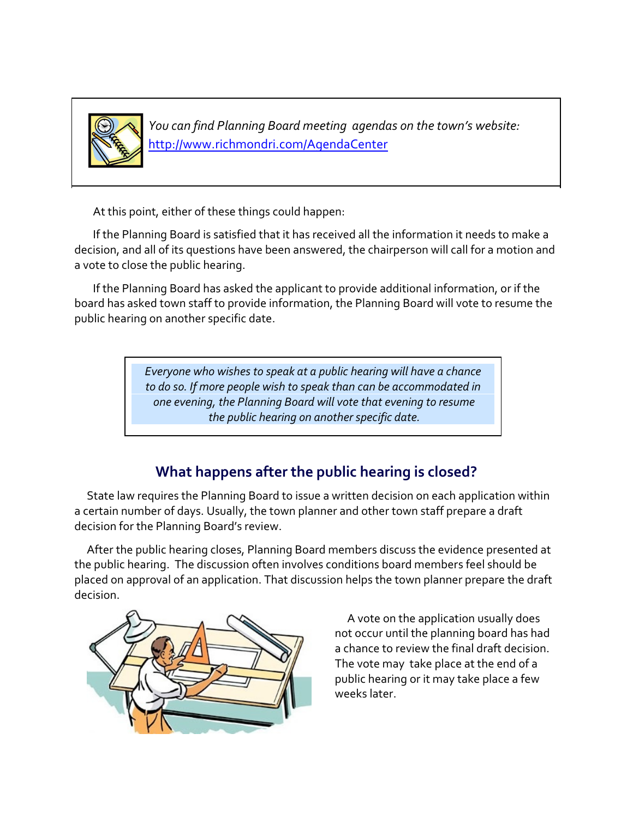

*You can find Planning Board meeting agendas on the town's website:*  <http://www.richmondri.com/AgendaCenter>

At this point, either of these things could happen:

 If the Planning Board is satisfied that it has received all the information it needs to make a decision, and all of its questions have been answered, the chairperson will call for a motion and a vote to close the public hearing.

 If the Planning Board has asked the applicant to provide additional information, or if the board has asked town staff to provide information, the Planning Board will vote to resume the public hearing on another specific date.

> *Everyone who wishes to speak at a public hearing will have a chance to do so. If more people wish to speak than can be accommodated in one evening, the Planning Board will vote that evening to resume the public hearing on another specific date.*

### **What happens after the public hearing is closed?**

 State law requires the Planning Board to issue a written decision on each application within a certain number of days. Usually, the town planner and other town staff prepare a draft decision for the Planning Board's review.

 After the public hearing closes, Planning Board members discuss the evidence presented at the public hearing. The discussion often involves conditions board members feel should be placed on approval of an application. That discussion helps the town planner prepare the draft decision.



 A vote on the application usually does not occur until the planning board has had a chance to review the final draft decision. The vote may take place at the end of a public hearing or it may take place a few weeks later.